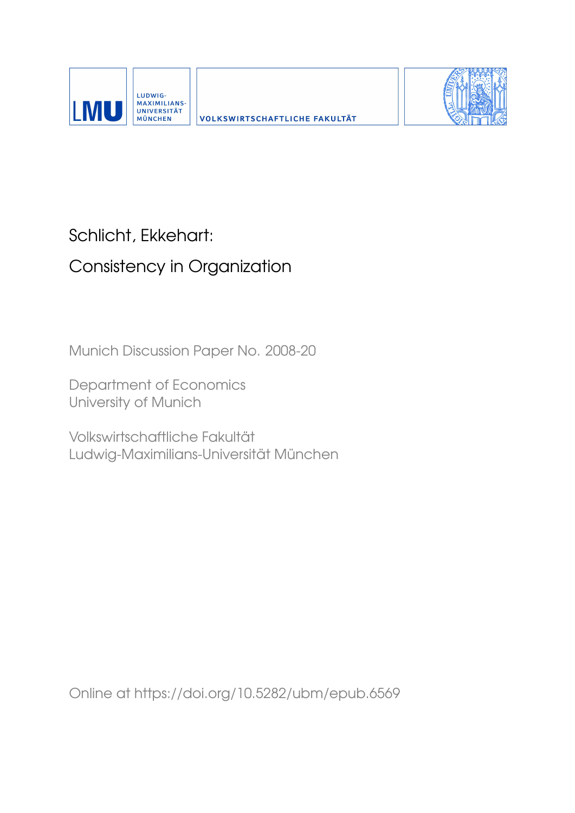



## Schlicht, Ekkehart:

# Consistency in Organization

Munich Discussion Paper No. 2008-20

Department of Economics University of Munich

Volkswirtschaftliche Fakultät Ludwig-Maximilians-Universität München

Online at https://doi.org/10.5282/ubm/epub.6569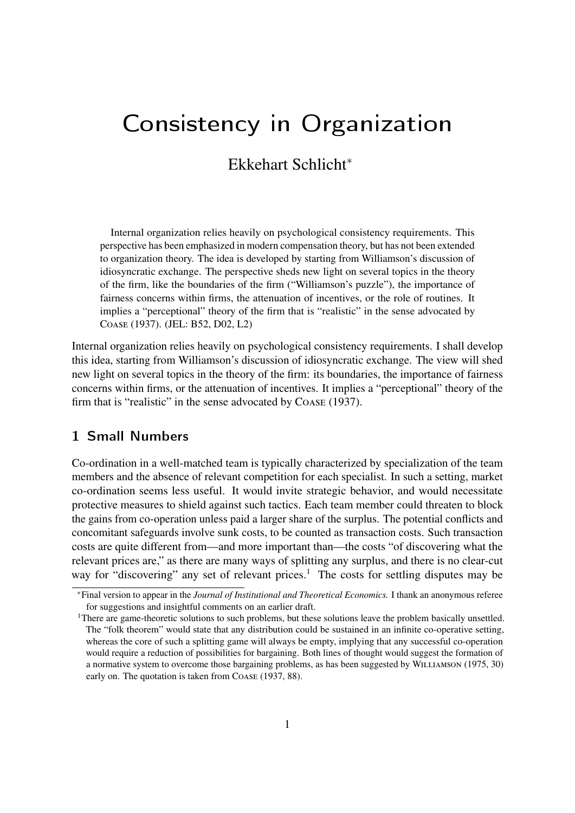# Consistency in Organization

### Ekkehart Schlicht<sup>∗</sup>

Internal organization relies heavily on psychological consistency requirements. This perspective has been emphasized in modern compensation theory, but has not been extended to organization theory. The idea is developed by starting from Williamson's discussion of idiosyncratic exchange. The perspective sheds new light on several topics in the theory of the firm, like the boundaries of the firm ("Williamson's puzzle"), the importance of fairness concerns within firms, the attenuation of incentives, or the role of routines. It implies a "perceptional" theory of the firm that is "realistic" in the sense advocated by Coase (1937). (JEL: B52, D02, L2)

Internal organization relies heavily on psychological consistency requirements. I shall develop this idea, starting from Williamson's discussion of idiosyncratic exchange. The view will shed new light on several topics in the theory of the firm: its boundaries, the importance of fairness concerns within firms, or the attenuation of incentives. It implies a "perceptional" theory of the firm that is "realistic" in the sense advocated by Coase (1937).

#### 1 Small Numbers

Co-ordination in a well-matched team is typically characterized by specialization of the team members and the absence of relevant competition for each specialist. In such a setting, market co-ordination seems less useful. It would invite strategic behavior, and would necessitate protective measures to shield against such tactics. Each team member could threaten to block the gains from co-operation unless paid a larger share of the surplus. The potential conflicts and concomitant safeguards involve sunk costs, to be counted as transaction costs. Such transaction costs are quite different from—and more important than—the costs "of discovering what the relevant prices are," as there are many ways of splitting any surplus, and there is no clear-cut way for "discovering" any set of relevant prices.<sup>1</sup> The costs for settling disputes may be

<sup>∗</sup>Final version to appear in the *Journal of Institutional and Theoretical Economics.* I thank an anonymous referee for suggestions and insightful comments on an earlier draft.

<sup>&</sup>lt;sup>1</sup>There are game-theoretic solutions to such problems, but these solutions leave the problem basically unsettled. The "folk theorem" would state that any distribution could be sustained in an infinite co-operative setting, whereas the core of such a splitting game will always be empty, implying that any successful co-operation would require a reduction of possibilities for bargaining. Both lines of thought would suggest the formation of a normative system to overcome those bargaining problems, as has been suggested by WILLIAMSON (1975, 30) early on. The quotation is taken from Coase (1937, 88).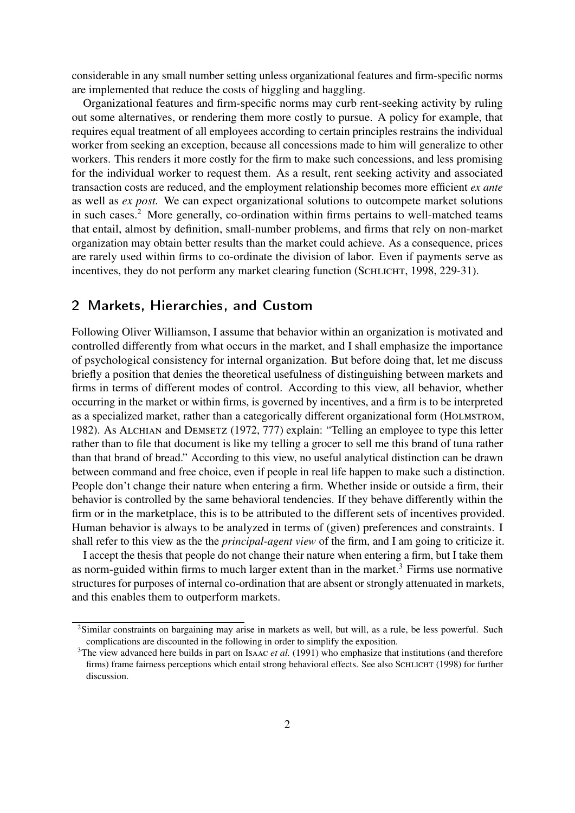considerable in any small number setting unless organizational features and firm-specific norms are implemented that reduce the costs of higgling and haggling.

Organizational features and firm-specific norms may curb rent-seeking activity by ruling out some alternatives, or rendering them more costly to pursue. A policy for example, that requires equal treatment of all employees according to certain principles restrains the individual worker from seeking an exception, because all concessions made to him will generalize to other workers. This renders it more costly for the firm to make such concessions, and less promising for the individual worker to request them. As a result, rent seeking activity and associated transaction costs are reduced, and the employment relationship becomes more efficient *ex ante* as well as *ex post.* We can expect organizational solutions to outcompete market solutions in such cases.<sup>2</sup> More generally, co-ordination within firms pertains to well-matched teams that entail, almost by definition, small-number problems, and firms that rely on non-market organization may obtain better results than the market could achieve. As a consequence, prices are rarely used within firms to co-ordinate the division of labor. Even if payments serve as incentives, they do not perform any market clearing function (SCHLICHT, 1998, 229-31).

#### 2 Markets, Hierarchies, and Custom

Following Oliver Williamson, I assume that behavior within an organization is motivated and controlled differently from what occurs in the market, and I shall emphasize the importance of psychological consistency for internal organization. But before doing that, let me discuss briefly a position that denies the theoretical usefulness of distinguishing between markets and firms in terms of different modes of control. According to this view, all behavior, whether occurring in the market or within firms, is governed by incentives, and a firm is to be interpreted as a specialized market, rather than a categorically different organizational form (HOLMSTROM, 1982). As Alchian and Demsetz (1972, 777) explain: "Telling an employee to type this letter rather than to file that document is like my telling a grocer to sell me this brand of tuna rather than that brand of bread." According to this view, no useful analytical distinction can be drawn between command and free choice, even if people in real life happen to make such a distinction. People don't change their nature when entering a firm. Whether inside or outside a firm, their behavior is controlled by the same behavioral tendencies. If they behave differently within the firm or in the marketplace, this is to be attributed to the different sets of incentives provided. Human behavior is always to be analyzed in terms of (given) preferences and constraints. I shall refer to this view as the the *principal-agent view* of the firm, and I am going to criticize it.

I accept the thesis that people do not change their nature when entering a firm, but I take them as norm-guided within firms to much larger extent than in the market.<sup>3</sup> Firms use normative structures for purposes of internal co-ordination that are absent or strongly attenuated in markets, and this enables them to outperform markets.

<sup>&</sup>lt;sup>2</sup>Similar constraints on bargaining may arise in markets as well, but will, as a rule, be less powerful. Such complications are discounted in the following in order to simplify the exposition.

<sup>&</sup>lt;sup>3</sup>The view advanced here builds in part on Isaac *et al.* (1991) who emphasize that institutions (and therefore firms) frame fairness perceptions which entail strong behavioral effects. See also SCHLICHT (1998) for further discussion.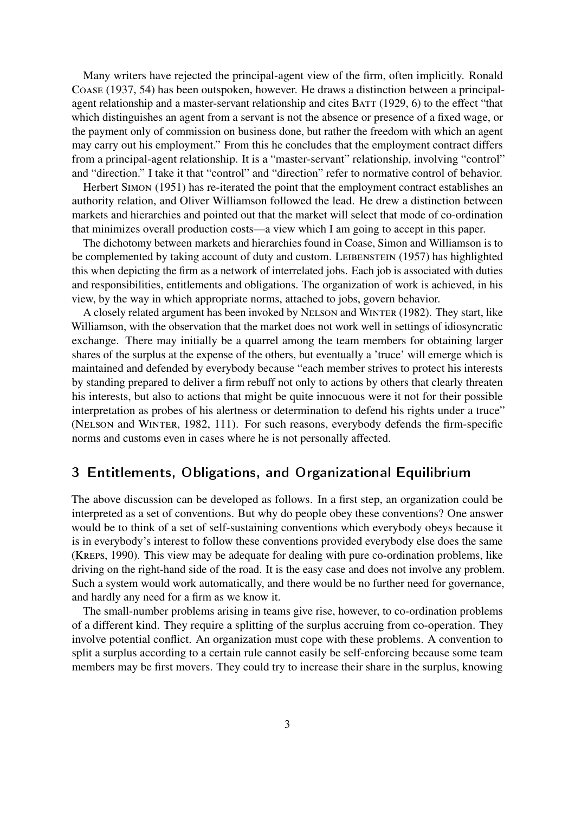Many writers have rejected the principal-agent view of the firm, often implicitly. Ronald Coase (1937, 54) has been outspoken, however. He draws a distinction between a principalagent relationship and a master-servant relationship and cites BATT (1929, 6) to the effect "that which distinguishes an agent from a servant is not the absence or presence of a fixed wage, or the payment only of commission on business done, but rather the freedom with which an agent may carry out his employment." From this he concludes that the employment contract differs from a principal-agent relationship. It is a "master-servant" relationship, involving "control" and "direction." I take it that "control" and "direction" refer to normative control of behavior.

Herbert Simon (1951) has re-iterated the point that the employment contract establishes an authority relation, and Oliver Williamson followed the lead. He drew a distinction between markets and hierarchies and pointed out that the market will select that mode of co-ordination that minimizes overall production costs—a view which I am going to accept in this paper.

The dichotomy between markets and hierarchies found in Coase, Simon and Williamson is to be complemented by taking account of duty and custom. LEIBENSTEIN (1957) has highlighted this when depicting the firm as a network of interrelated jobs. Each job is associated with duties and responsibilities, entitlements and obligations. The organization of work is achieved, in his view, by the way in which appropriate norms, attached to jobs, govern behavior.

A closely related argument has been invoked by Nelson and Winter (1982). They start, like Williamson, with the observation that the market does not work well in settings of idiosyncratic exchange. There may initially be a quarrel among the team members for obtaining larger shares of the surplus at the expense of the others, but eventually a 'truce' will emerge which is maintained and defended by everybody because "each member strives to protect his interests by standing prepared to deliver a firm rebuff not only to actions by others that clearly threaten his interests, but also to actions that might be quite innocuous were it not for their possible interpretation as probes of his alertness or determination to defend his rights under a truce" (Nelson and Winter, 1982, 111). For such reasons, everybody defends the firm-specific norms and customs even in cases where he is not personally affected.

#### 3 Entitlements, Obligations, and Organizational Equilibrium

The above discussion can be developed as follows. In a first step, an organization could be interpreted as a set of conventions. But why do people obey these conventions? One answer would be to think of a set of self-sustaining conventions which everybody obeys because it is in everybody's interest to follow these conventions provided everybody else does the same (Kreps, 1990). This view may be adequate for dealing with pure co-ordination problems, like driving on the right-hand side of the road. It is the easy case and does not involve any problem. Such a system would work automatically, and there would be no further need for governance, and hardly any need for a firm as we know it.

The small-number problems arising in teams give rise, however, to co-ordination problems of a different kind. They require a splitting of the surplus accruing from co-operation. They involve potential conflict. An organization must cope with these problems. A convention to split a surplus according to a certain rule cannot easily be self-enforcing because some team members may be first movers. They could try to increase their share in the surplus, knowing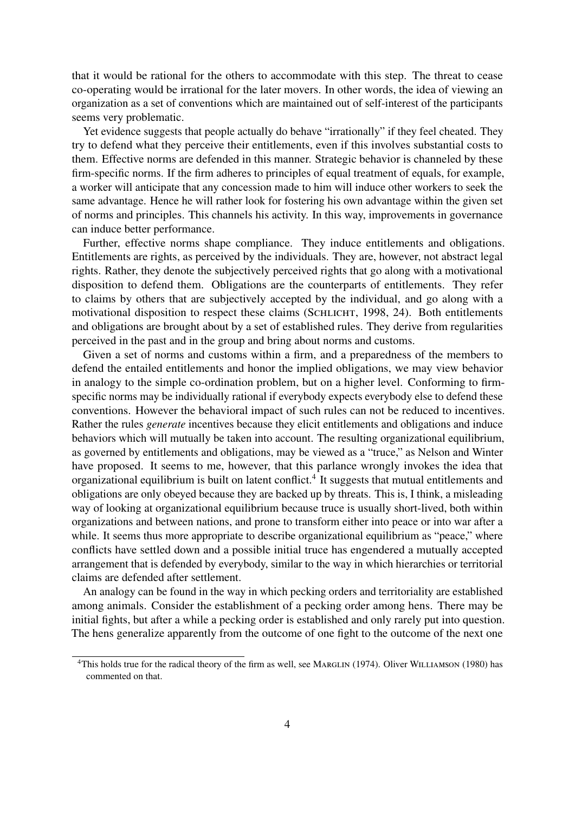that it would be rational for the others to accommodate with this step. The threat to cease co-operating would be irrational for the later movers. In other words, the idea of viewing an organization as a set of conventions which are maintained out of self-interest of the participants seems very problematic.

Yet evidence suggests that people actually do behave "irrationally" if they feel cheated. They try to defend what they perceive their entitlements, even if this involves substantial costs to them. Effective norms are defended in this manner. Strategic behavior is channeled by these firm-specific norms. If the firm adheres to principles of equal treatment of equals, for example, a worker will anticipate that any concession made to him will induce other workers to seek the same advantage. Hence he will rather look for fostering his own advantage within the given set of norms and principles. This channels his activity. In this way, improvements in governance can induce better performance.

Further, effective norms shape compliance. They induce entitlements and obligations. Entitlements are rights, as perceived by the individuals. They are, however, not abstract legal rights. Rather, they denote the subjectively perceived rights that go along with a motivational disposition to defend them. Obligations are the counterparts of entitlements. They refer to claims by others that are subjectively accepted by the individual, and go along with a motivational disposition to respect these claims (SCHLICHT, 1998, 24). Both entitlements and obligations are brought about by a set of established rules. They derive from regularities perceived in the past and in the group and bring about norms and customs.

Given a set of norms and customs within a firm, and a preparedness of the members to defend the entailed entitlements and honor the implied obligations, we may view behavior in analogy to the simple co-ordination problem, but on a higher level. Conforming to firmspecific norms may be individually rational if everybody expects everybody else to defend these conventions. However the behavioral impact of such rules can not be reduced to incentives. Rather the rules *generate* incentives because they elicit entitlements and obligations and induce behaviors which will mutually be taken into account. The resulting organizational equilibrium, as governed by entitlements and obligations, may be viewed as a "truce," as Nelson and Winter have proposed. It seems to me, however, that this parlance wrongly invokes the idea that organizational equilibrium is built on latent conflict.<sup>4</sup> It suggests that mutual entitlements and obligations are only obeyed because they are backed up by threats. This is, I think, a misleading way of looking at organizational equilibrium because truce is usually short-lived, both within organizations and between nations, and prone to transform either into peace or into war after a while. It seems thus more appropriate to describe organizational equilibrium as "peace," where conflicts have settled down and a possible initial truce has engendered a mutually accepted arrangement that is defended by everybody, similar to the way in which hierarchies or territorial claims are defended after settlement.

An analogy can be found in the way in which pecking orders and territoriality are established among animals. Consider the establishment of a pecking order among hens. There may be initial fights, but after a while a pecking order is established and only rarely put into question. The hens generalize apparently from the outcome of one fight to the outcome of the next one

<sup>&</sup>lt;sup>4</sup>This holds true for the radical theory of the firm as well, see MARGLIN (1974). Oliver WILLIAMSON (1980) has commented on that.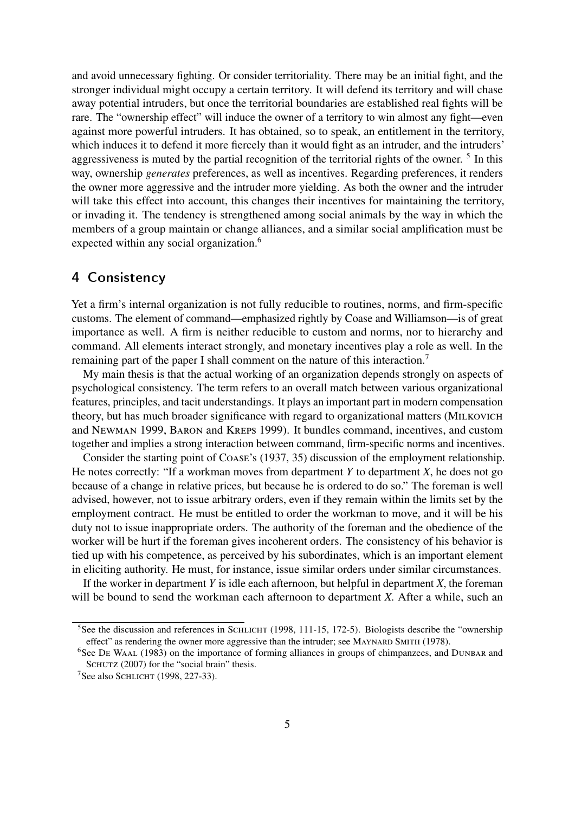and avoid unnecessary fighting. Or consider territoriality. There may be an initial fight, and the stronger individual might occupy a certain territory. It will defend its territory and will chase away potential intruders, but once the territorial boundaries are established real fights will be rare. The "ownership effect" will induce the owner of a territory to win almost any fight—even against more powerful intruders. It has obtained, so to speak, an entitlement in the territory, which induces it to defend it more fiercely than it would fight as an intruder, and the intruders' aggressiveness is muted by the partial recognition of the territorial rights of the owner.<sup>5</sup> In this way, ownership *generates* preferences, as well as incentives. Regarding preferences, it renders the owner more aggressive and the intruder more yielding. As both the owner and the intruder will take this effect into account, this changes their incentives for maintaining the territory, or invading it. The tendency is strengthened among social animals by the way in which the members of a group maintain or change alliances, and a similar social amplification must be expected within any social organization.<sup>6</sup>

#### 4 Consistency

Yet a firm's internal organization is not fully reducible to routines, norms, and firm-specific customs. The element of command—emphasized rightly by Coase and Williamson—is of great importance as well. A firm is neither reducible to custom and norms, nor to hierarchy and command. All elements interact strongly, and monetary incentives play a role as well. In the remaining part of the paper I shall comment on the nature of this interaction.<sup>7</sup>

My main thesis is that the actual working of an organization depends strongly on aspects of psychological consistency. The term refers to an overall match between various organizational features, principles, and tacit understandings. It plays an important part in modern compensation theory, but has much broader significance with regard to organizational matters (MILKOVICH and Newman 1999, Baron and Kreps 1999). It bundles command, incentives, and custom together and implies a strong interaction between command, firm-specific norms and incentives.

Consider the starting point of Coase's (1937, 35) discussion of the employment relationship. He notes correctly: "If a workman moves from department *Y* to department *X*, he does not go because of a change in relative prices, but because he is ordered to do so." The foreman is well advised, however, not to issue arbitrary orders, even if they remain within the limits set by the employment contract. He must be entitled to order the workman to move, and it will be his duty not to issue inappropriate orders. The authority of the foreman and the obedience of the worker will be hurt if the foreman gives incoherent orders. The consistency of his behavior is tied up with his competence, as perceived by his subordinates, which is an important element in eliciting authority. He must, for instance, issue similar orders under similar circumstances.

If the worker in department *Y* is idle each afternoon, but helpful in department *X*, the foreman will be bound to send the workman each afternoon to department *X.* After a while, such an

 $5$ See the discussion and references in SCHLICHT (1998, 111-15, 172-5). Biologists describe the "ownership" effect" as rendering the owner more aggressive than the intruder; see MAYNARD SMITH (1978).

<sup>&</sup>lt;sup>6</sup>See DE WAAL (1983) on the importance of forming alliances in groups of chimpanzees, and DUNBAR and SCHUTZ (2007) for the "social brain" thesis.

<sup>&</sup>lt;sup>7</sup>See also SCHLICHT (1998, 227-33).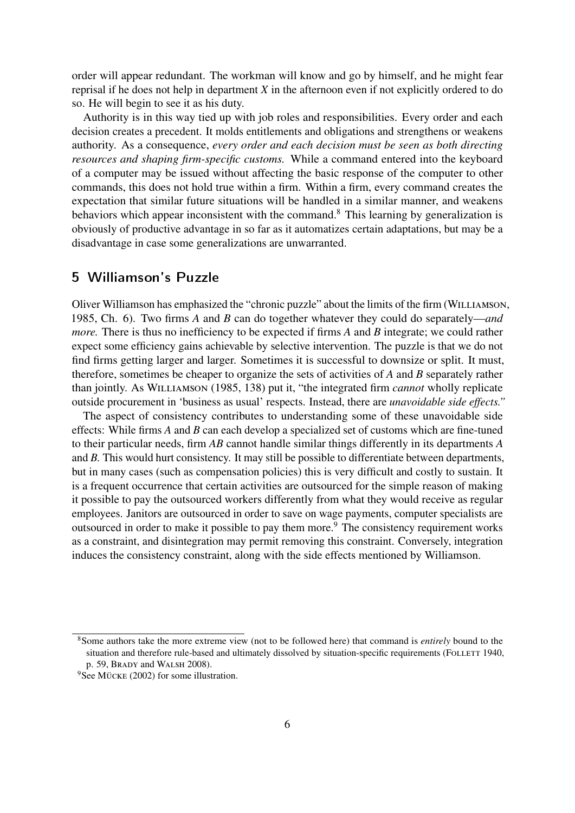order will appear redundant. The workman will know and go by himself, and he might fear reprisal if he does not help in department *X* in the afternoon even if not explicitly ordered to do so. He will begin to see it as his duty.

Authority is in this way tied up with job roles and responsibilities. Every order and each decision creates a precedent. It molds entitlements and obligations and strengthens or weakens authority. As a consequence, *every order and each decision must be seen as both directing resources and shaping firm-specific customs.* While a command entered into the keyboard of a computer may be issued without affecting the basic response of the computer to other commands, this does not hold true within a firm. Within a firm, every command creates the expectation that similar future situations will be handled in a similar manner, and weakens behaviors which appear inconsistent with the command.<sup>8</sup> This learning by generalization is obviously of productive advantage in so far as it automatizes certain adaptations, but may be a disadvantage in case some generalizations are unwarranted.

#### 5 Williamson's Puzzle

Oliver Williamson has emphasized the "chronic puzzle" about the limits of the firm (Williamson, 1985, Ch. 6). Two firms *A* and *B* can do together whatever they could do separately—*and more.* There is thus no inefficiency to be expected if firms A and B integrate; we could rather expect some efficiency gains achievable by selective intervention. The puzzle is that we do not find firms getting larger and larger. Sometimes it is successful to downsize or split. It must, therefore, sometimes be cheaper to organize the sets of activities of *A* and *B* separately rather than jointly. As Williamson (1985, 138) put it, "the integrated firm *cannot* wholly replicate outside procurement in 'business as usual' respects. Instead, there are *unavoidable side effects."*

The aspect of consistency contributes to understanding some of these unavoidable side effects: While firms *A* and *B* can each develop a specialized set of customs which are fine-tuned to their particular needs, firm *AB* cannot handle similar things differently in its departments *A* and *B.* This would hurt consistency. It may still be possible to differentiate between departments, but in many cases (such as compensation policies) this is very difficult and costly to sustain. It is a frequent occurrence that certain activities are outsourced for the simple reason of making it possible to pay the outsourced workers differently from what they would receive as regular employees. Janitors are outsourced in order to save on wage payments, computer specialists are outsourced in order to make it possible to pay them more.<sup>9</sup> The consistency requirement works as a constraint, and disintegration may permit removing this constraint. Conversely, integration induces the consistency constraint, along with the side effects mentioned by Williamson.

<sup>8</sup>Some authors take the more extreme view (not to be followed here) that command is *entirely* bound to the situation and therefore rule-based and ultimately dissolved by situation-specific requirements (FOLLETT 1940, p. 59, Brady and Walsh 2008).

<sup>&</sup>lt;sup>9</sup>See MÜCKE (2002) for some illustration.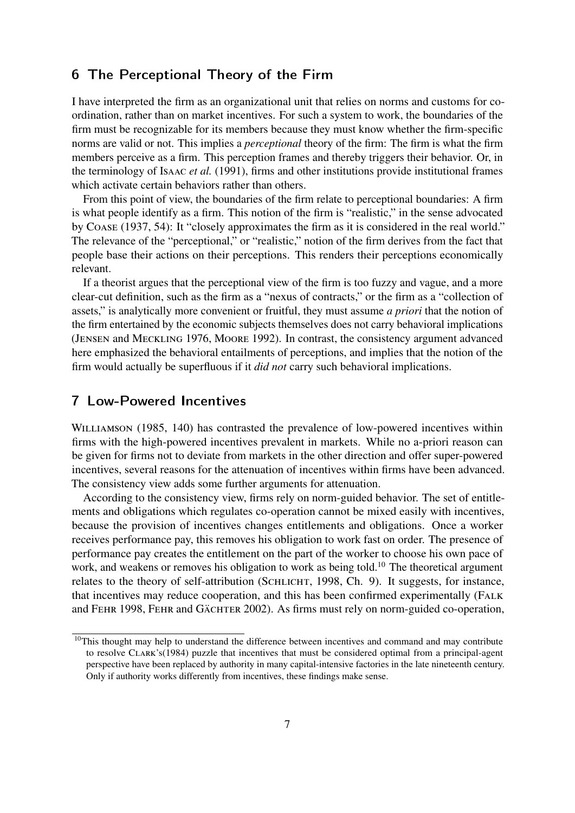#### **6** The Perceptional Theory of the Firm

I have interpreted the firm as an organizational unit that relies on norms and customs for coordination, rather than on market incentives. For such a system to work, the boundaries of the firm must be recognizable for its members because they must know whether the firm-specific norms are valid or not. This implies a *perceptional* theory of the firm: The firm is what the firm members perceive as a firm. This perception frames and thereby triggers their behavior. Or, in the terminology of Isaac *et al.* (1991), firms and other institutions provide institutional frames which activate certain behaviors rather than others.

From this point of view, the boundaries of the firm relate to perceptional boundaries: A firm is what people identify as a firm. This notion of the firm is "realistic," in the sense advocated by Coase (1937, 54): It "closely approximates the firm as it is considered in the real world." The relevance of the "perceptional," or "realistic," notion of the firm derives from the fact that people base their actions on their perceptions. This renders their perceptions economically relevant.

If a theorist argues that the perceptional view of the firm is too fuzzy and vague, and a more clear-cut definition, such as the firm as a "nexus of contracts," or the firm as a "collection of assets," is analytically more convenient or fruitful, they must assume *a priori* that the notion of the firm entertained by the economic subjects themselves does not carry behavioral implications (Jensen and Meckling 1976, Moore 1992). In contrast, the consistency argument advanced here emphasized the behavioral entailments of perceptions, and implies that the notion of the firm would actually be superfluous if it *did not* carry such behavioral implications.

#### **7**  $\blacksquare$  cow-Powered Incentives

WILLIAMSON (1985, 140) has contrasted the prevalence of low-powered incentives within firms with the high-powered incentives prevalent in markets. While no a-priori reason can be given for firms not to deviate from markets in the other direction and offer super-powered incentives, several reasons for the attenuation of incentives within firms have been advanced. The consistency view adds some further arguments for attenuation.

According to the consistency view, firms rely on norm-guided behavior. The set of entitlements and obligations which regulates co-operation cannot be mixed easily with incentives, because the provision of incentives changes entitlements and obligations. Once a worker receives performance pay, this removes his obligation to work fast on order. The presence of performance pay creates the entitlement on the part of the worker to choose his own pace of work, and weakens or removes his obligation to work as being told.<sup>10</sup> The theoretical argument relates to the theory of self-attribution (SCHLICHT, 1998, Ch. 9). It suggests, for instance, that incentives may reduce cooperation, and this has been confirmed experimentally (Falk and FEHR 1998, FEHR and GÄCHTER 2002). As firms must rely on norm-guided co-operation,

<sup>&</sup>lt;sup>10</sup>This thought may help to understand the difference between incentives and command and may contribute to resolve Clark's(1984) puzzle that incentives that must be considered optimal from a principal-agent perspective have been replaced by authority in many capital-intensive factories in the late nineteenth century. Only if authority works differently from incentives, these findings make sense.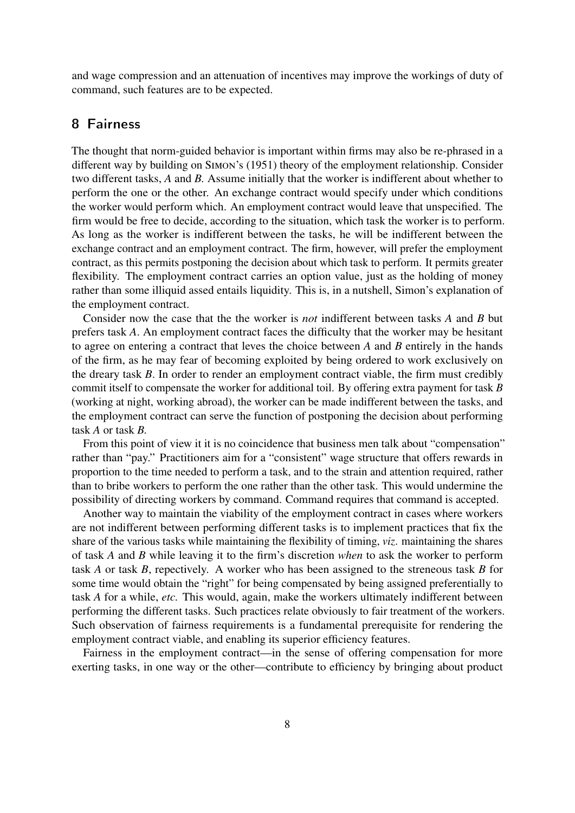and wage compression and an attenuation of incentives may improve the workings of duty of command, such features are to be expected.

#### 8 Fairness

The thought that norm-guided behavior is important within firms may also be re-phrased in a different way by building on Simon's (1951) theory of the employment relationship. Consider two different tasks, *A* and *B.* Assume initially that the worker is indifferent about whether to perform the one or the other. An exchange contract would specify under which conditions the worker would perform which. An employment contract would leave that unspecified. The firm would be free to decide, according to the situation, which task the worker is to perform. As long as the worker is indifferent between the tasks, he will be indifferent between the exchange contract and an employment contract. The firm, however, will prefer the employment contract, as this permits postponing the decision about which task to perform. It permits greater flexibility. The employment contract carries an option value, just as the holding of money rather than some illiquid assed entails liquidity. This is, in a nutshell, Simon's explanation of the employment contract.

Consider now the case that the the worker is *not* indifferent between tasks *A* and *B* but prefers task *A*. An employment contract faces the difficulty that the worker may be hesitant to agree on entering a contract that leves the choice between *A* and *B* entirely in the hands of the firm, as he may fear of becoming exploited by being ordered to work exclusively on the dreary task *B*. In order to render an employment contract viable, the firm must credibly commit itself to compensate the worker for additional toil. By offering extra payment for task *B* (working at night, working abroad), the worker can be made indifferent between the tasks, and the employment contract can serve the function of postponing the decision about performing task *A* or task *B.*

From this point of view it it is no coincidence that business men talk about "compensation" rather than "pay." Practitioners aim for a "consistent" wage structure that offers rewards in proportion to the time needed to perform a task, and to the strain and attention required, rather than to bribe workers to perform the one rather than the other task. This would undermine the possibility of directing workers by command. Command requires that command is accepted.

Another way to maintain the viability of the employment contract in cases where workers are not indifferent between performing different tasks is to implement practices that fix the share of the various tasks while maintaining the flexibility of timing, *viz*. maintaining the shares of task *A* and *B* while leaving it to the firm's discretion *when* to ask the worker to perform task *A* or task *B*, repectively. A worker who has been assigned to the streneous task *B* for some time would obtain the "right" for being compensated by being assigned preferentially to task *A* for a while, *etc.* This would, again, make the workers ultimately indifferent between performing the different tasks. Such practices relate obviously to fair treatment of the workers. Such observation of fairness requirements is a fundamental prerequisite for rendering the employment contract viable, and enabling its superior efficiency features.

Fairness in the employment contract—in the sense of offering compensation for more exerting tasks, in one way or the other—contribute to efficiency by bringing about product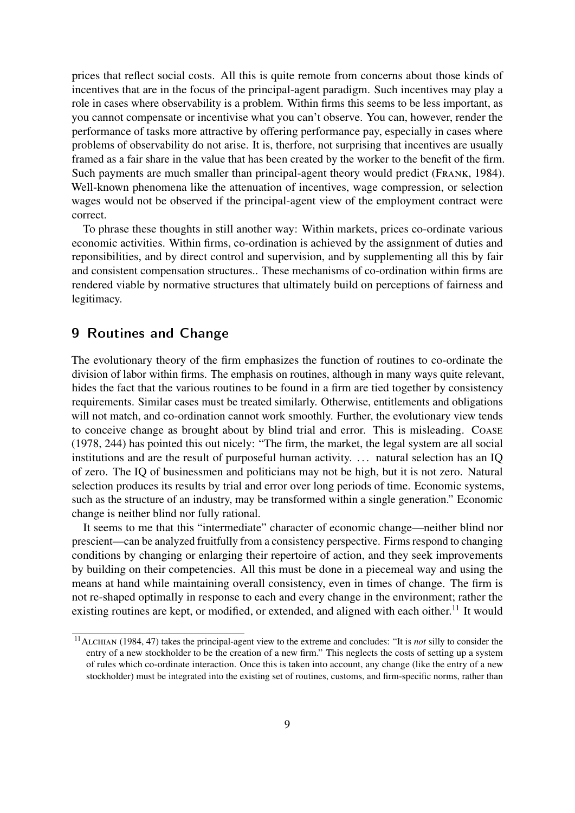prices that reflect social costs. All this is quite remote from concerns about those kinds of incentives that are in the focus of the principal-agent paradigm. Such incentives may play a role in cases where observability is a problem. Within firms this seems to be less important, as you cannot compensate or incentivise what you can't observe. You can, however, render the performance of tasks more attractive by offering performance pay, especially in cases where problems of observability do not arise. It is, therfore, not surprising that incentives are usually framed as a fair share in the value that has been created by the worker to the benefit of the firm. Such payments are much smaller than principal-agent theory would predict (Frank, 1984). Well-known phenomena like the attenuation of incentives, wage compression, or selection wages would not be observed if the principal-agent view of the employment contract were correct.

To phrase these thoughts in still another way: Within markets, prices co-ordinate various economic activities. Within firms, co-ordination is achieved by the assignment of duties and reponsibilities, and by direct control and supervision, and by supplementing all this by fair and consistent compensation structures.. These mechanisms of co-ordination within firms are rendered viable by normative structures that ultimately build on perceptions of fairness and legitimacy.

#### **9** Routines and Change

The evolutionary theory of the firm emphasizes the function of routines to co-ordinate the division of labor within firms. The emphasis on routines, although in many ways quite relevant, hides the fact that the various routines to be found in a firm are tied together by consistency requirements. Similar cases must be treated similarly. Otherwise, entitlements and obligations will not match, and co-ordination cannot work smoothly. Further, the evolutionary view tends to conceive change as brought about by blind trial and error. This is misleading. Coase (1978, 244) has pointed this out nicely: "The firm, the market, the legal system are all social institutions and are the result of purposeful human activity. ... natural selection has an IQ of zero. The IQ of businessmen and politicians may not be high, but it is not zero. Natural selection produces its results by trial and error over long periods of time. Economic systems, such as the structure of an industry, may be transformed within a single generation." Economic change is neither blind nor fully rational.

It seems to me that this "intermediate" character of economic change—neither blind nor prescient—can be analyzed fruitfully from a consistency perspective. Firms respond to changing conditions by changing or enlarging their repertoire of action, and they seek improvements by building on their competencies. All this must be done in a piecemeal way and using the means at hand while maintaining overall consistency, even in times of change. The firm is not re-shaped optimally in response to each and every change in the environment; rather the existing routines are kept, or modified, or extended, and aligned with each oither.<sup>11</sup> It would

<sup>&</sup>lt;sup>11</sup>ALCHIAN (1984, 47) takes the principal-agent view to the extreme and concludes: "It is *not* silly to consider the entry of a new stockholder to be the creation of a new firm." This neglects the costs of setting up a system of rules which co-ordinate interaction. Once this is taken into account, any change (like the entry of a new stockholder) must be integrated into the existing set of routines, customs, and firm-specific norms, rather than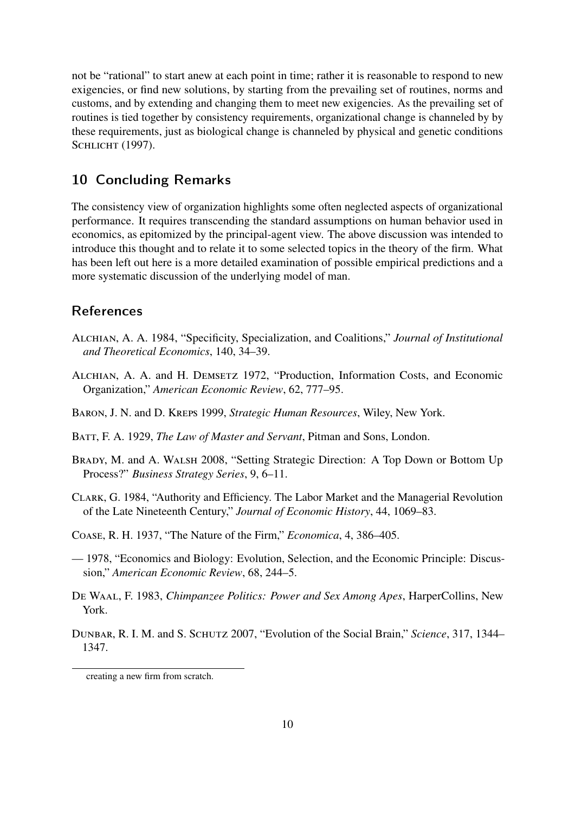not be "rational" to start anew at each point in time; rather it is reasonable to respond to new exigencies, or find new solutions, by starting from the prevailing set of routines, norms and customs, and by extending and changing them to meet new exigencies. As the prevailing set of routines is tied together by consistency requirements, organizational change is channeled by by these requirements, just as biological change is channeled by physical and genetic conditions SCHLICHT (1997).

#### 10 Concluding Remarks

The consistency view of organization highlights some often neglected aspects of organizational performance. It requires transcending the standard assumptions on human behavior used in economics, as epitomized by the principal-agent view. The above discussion was intended to introduce this thought and to relate it to some selected topics in the theory of the firm. What has been left out here is a more detailed examination of possible empirical predictions and a more systematic discussion of the underlying model of man.

#### **References**

- Alchian, A. A. 1984, "Specificity, Specialization, and Coalitions," *Journal of Institutional and Theoretical Economics*, 140, 34–39.
- Alchian, A. A. and H. Demsetz 1972, "Production, Information Costs, and Economic Organization," *American Economic Review*, 62, 777–95.
- Baron, J. N. and D. Kreps 1999, *Strategic Human Resources*, Wiley, New York.
- Batt, F. A. 1929, *The Law of Master and Servant*, Pitman and Sons, London.
- Brady, M. and A. Walsh 2008, "Setting Strategic Direction: A Top Down or Bottom Up Process?" *Business Strategy Series*, 9, 6–11.
- Clark, G. 1984, "Authority and Efficiency. The Labor Market and the Managerial Revolution of the Late Nineteenth Century," *Journal of Economic History*, 44, 1069–83.
- Coase, R. H. 1937, "The Nature of the Firm," *Economica*, 4, 386–405.
- 1978, "Economics and Biology: Evolution, Selection, and the Economic Principle: Discussion," *American Economic Review*, 68, 244–5.
- De Waal, F. 1983, *Chimpanzee Politics: Power and Sex Among Apes*, HarperCollins, New York.
- Dunbar, R. I. M. and S. Schutz 2007, "Evolution of the Social Brain," *Science*, 317, 1344– 1347.

creating a new firm from scratch.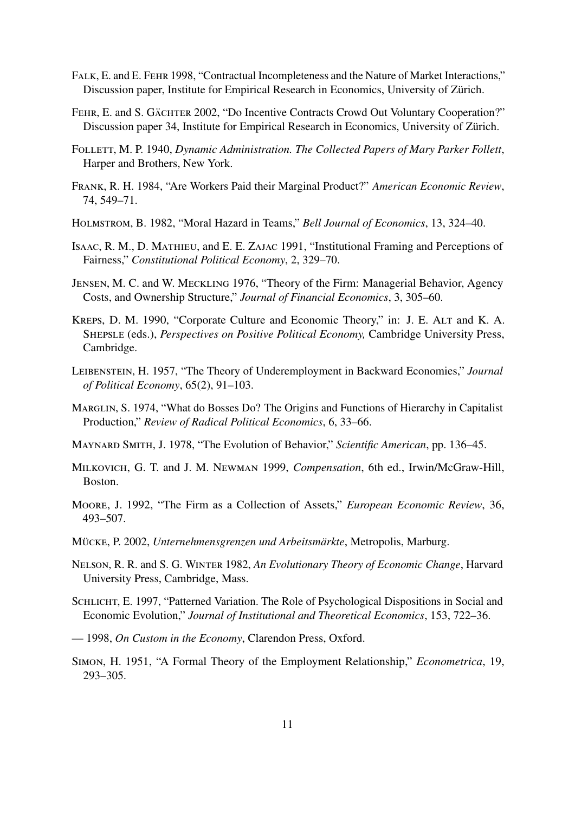- Falk, E. and E. Fehr 1998, "Contractual Incompleteness and the Nature of Market Interactions," Discussion paper, Institute for Empirical Research in Economics, University of Zürich.
- FEHR, E. and S. GÄCHTER 2002, "Do Incentive Contracts Crowd Out Voluntary Cooperation?" Discussion paper 34, Institute for Empirical Research in Economics, University of Zürich.
- Follett, M. P. 1940, *Dynamic Administration. The Collected Papers of Mary Parker Follett*, Harper and Brothers, New York.
- Frank, R. H. 1984, "Are Workers Paid their Marginal Product?" *American Economic Review*, 74, 549–71.
- Holmstrom, B. 1982, "Moral Hazard in Teams," *Bell Journal of Economics*, 13, 324–40.
- Isaac, R. M., D. Mathieu, and E. E. Zajac 1991, "Institutional Framing and Perceptions of Fairness," *Constitutional Political Economy*, 2, 329–70.
- Jensen, M. C. and W. Meckling 1976, "Theory of the Firm: Managerial Behavior, Agency Costs, and Ownership Structure," *Journal of Financial Economics*, 3, 305–60.
- KREPS, D. M. 1990, "Corporate Culture and Economic Theory," in: J. E. ALT and K. A. Shepsle (eds.), *Perspectives on Positive Political Economy,* Cambridge University Press, Cambridge.
- Leibenstein, H. 1957, "The Theory of Underemployment in Backward Economies," *Journal of Political Economy*, 65(2), 91–103.
- MARGLIN, S. 1974, "What do Bosses Do? The Origins and Functions of Hierarchy in Capitalist Production," *Review of Radical Political Economics*, 6, 33–66.
- Maynard Smith, J. 1978, "The Evolution of Behavior," *Scientific American*, pp. 136–45.
- Milkovich, G. T. and J. M. Newman 1999, *Compensation*, 6th ed., Irwin/McGraw-Hill, Boston.
- Moore, J. 1992, "The Firm as a Collection of Assets," *European Economic Review*, 36, 493–507.
- Mücke, P. 2002, *Unternehmensgrenzen und Arbeitsmärkte*, Metropolis, Marburg.
- Nelson, R. R. and S. G. Winter 1982, *An Evolutionary Theory of Economic Change*, Harvard University Press, Cambridge, Mass.
- Schlicht, E. 1997, "Patterned Variation. The Role of Psychological Dispositions in Social and Economic Evolution," *Journal of Institutional and Theoretical Economics*, 153, 722–36.
- 1998, *On Custom in the Economy*, Clarendon Press, Oxford.
- Simon, H. 1951, "A Formal Theory of the Employment Relationship," *Econometrica*, 19, 293–305.